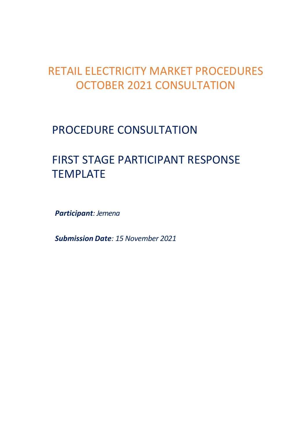## RETAIL ELECTRICITY MARKET PROCEDURES OCTOBER 2021 CONSULTATION

## PROCEDURE CONSULTATION

# FIRST STAGE PARTICIPANT RESPONSE TEMPLATE

*Participant: Jemena*

*Submission Date: 15 November 2021*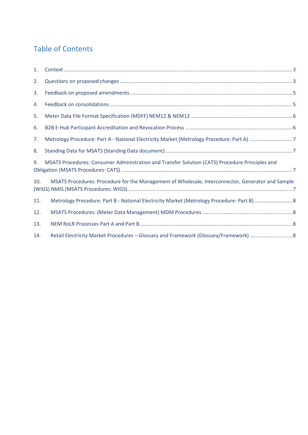## Table of Contents

| 1.  |                                                                                                   |  |
|-----|---------------------------------------------------------------------------------------------------|--|
| 2.  |                                                                                                   |  |
| 3.  |                                                                                                   |  |
| 4.  |                                                                                                   |  |
| 5.  |                                                                                                   |  |
| 6.  |                                                                                                   |  |
| 7.  |                                                                                                   |  |
| 8.  |                                                                                                   |  |
| 9.  | MSATS Procedures: Consumer Administration and Transfer Solution (CATS) Procedure Principles and   |  |
| 10. | MSATS Procedures: Procedure for the Management of Wholesale, Interconnector, Generator and Sample |  |
| 11. | Metrology Procedure: Part B - National Electricity Market (Metrology Procedure: Part B) 8         |  |
| 12. |                                                                                                   |  |
| 13. |                                                                                                   |  |
| 14. | Retail Electricity Market Procedures - Glossary and Framework (Glossary/Framework)  8             |  |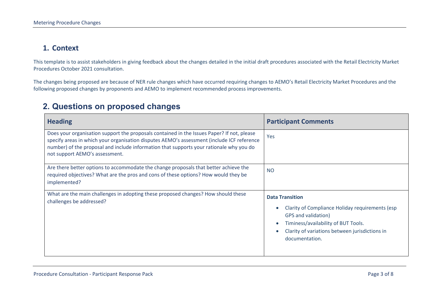#### **1. Context**

This template is to assist stakeholders in giving feedback about the changes detailed in the initial draft procedures associated with the Retail Electricity Market Procedures October 2021 consultation.

The changes being proposed are because of NER rule changes which have occurred requiring changes to AEMO's Retail Electricity Market Procedures and the following proposed changes by proponents and AEMO to implement recommended process improvements.

### **2. Questions on proposed changes**

<span id="page-2-1"></span><span id="page-2-0"></span>

| <b>Heading</b>                                                                                                                                                                                                                                                                                                        | <b>Participant Comments</b>                                                                                                                                                                                 |
|-----------------------------------------------------------------------------------------------------------------------------------------------------------------------------------------------------------------------------------------------------------------------------------------------------------------------|-------------------------------------------------------------------------------------------------------------------------------------------------------------------------------------------------------------|
| Does your organisation support the proposals contained in the Issues Paper? If not, please<br>specify areas in which your organisation disputes AEMO's assessment (include ICF reference<br>number) of the proposal and include information that supports your rationale why you do<br>not support AEMO's assessment. | Yes                                                                                                                                                                                                         |
| Are there better options to accommodate the change proposals that better achieve the<br>required objectives? What are the pros and cons of these options? How would they be<br>implemented?                                                                                                                           | <b>NO</b>                                                                                                                                                                                                   |
| What are the main challenges in adopting these proposed changes? How should these<br>challenges be addressed?                                                                                                                                                                                                         | <b>Data Transition</b><br>Clarity of Compliance Holiday requirements (esp<br>GPS and validation)<br>Timiness/availability of BUT Tools.<br>Clarity of variations between jurisdictions in<br>documentation. |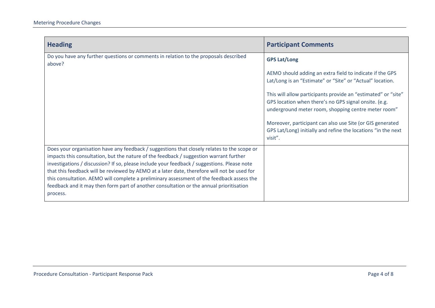| <b>Heading</b>                                                                                                                                                                                                                                                                                                                                                                                                                                                                                                                                                                          | <b>Participant Comments</b>                                                                                                                                                   |
|-----------------------------------------------------------------------------------------------------------------------------------------------------------------------------------------------------------------------------------------------------------------------------------------------------------------------------------------------------------------------------------------------------------------------------------------------------------------------------------------------------------------------------------------------------------------------------------------|-------------------------------------------------------------------------------------------------------------------------------------------------------------------------------|
| Do you have any further questions or comments in relation to the proposals described<br>above?                                                                                                                                                                                                                                                                                                                                                                                                                                                                                          | <b>GPS Lat/Long</b>                                                                                                                                                           |
|                                                                                                                                                                                                                                                                                                                                                                                                                                                                                                                                                                                         | AEMO should adding an extra field to indicate if the GPS<br>Lat/Long is an "Estimate" or "Site" or "Actual" location.                                                         |
|                                                                                                                                                                                                                                                                                                                                                                                                                                                                                                                                                                                         | This will allow participants provide an "estimated" or "site"<br>GPS location when there's no GPS signal onsite. (e.g.<br>underground meter room, shopping centre meter room" |
|                                                                                                                                                                                                                                                                                                                                                                                                                                                                                                                                                                                         | Moreover, participant can also use Site (or GIS generated<br>GPS Lat/Long) initially and refine the locations "in the next<br>visit".                                         |
| Does your organisation have any feedback / suggestions that closely relates to the scope or<br>impacts this consultation, but the nature of the feedback / suggestion warrant further<br>investigations / discussion? If so, please include your feedback / suggestions. Please note<br>that this feedback will be reviewed by AEMO at a later date, therefore will not be used for<br>this consultation. AEMO will complete a preliminary assessment of the feedback assess the<br>feedback and it may then form part of another consultation or the annual prioritisation<br>process. |                                                                                                                                                                               |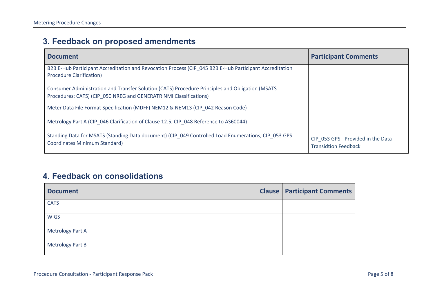## **3. Feedback on proposed amendments**

| <b>Document</b>                                                                                                                                                      | <b>Participant Comments</b>                                       |
|----------------------------------------------------------------------------------------------------------------------------------------------------------------------|-------------------------------------------------------------------|
| B2B E-Hub Participant Accreditation and Revocation Process (CIP 045 B2B E-Hub Participant Accreditation<br><b>Procedure Clarification)</b>                           |                                                                   |
| Consumer Administration and Transfer Solution (CATS) Procedure Principles and Obligation (MSATS<br>Procedures: CATS) (CIP 050 NREG and GENERATR NMI Classifications) |                                                                   |
| Meter Data File Format Specification (MDFF) NEM12 & NEM13 (CIP 042 Reason Code)                                                                                      |                                                                   |
| Metrology Part A (CIP_046 Clarification of Clause 12.5, CIP_048 Reference to AS60044)                                                                                |                                                                   |
| Standing Data for MSATS (Standing Data document) (CIP 049 Controlled Load Enumerations, CIP 053 GPS<br><b>Coordinates Minimum Standard)</b>                          | CIP_053 GPS - Provided in the Data<br><b>Transidtion Feedback</b> |

### <span id="page-4-0"></span>**4. Feedback on consolidations**

<span id="page-4-1"></span>

| <b>Document</b>         | <b>Clause   Participant Comments</b> |
|-------------------------|--------------------------------------|
| <b>CATS</b>             |                                      |
| <b>WIGS</b>             |                                      |
| <b>Metrology Part A</b> |                                      |
| <b>Metrology Part B</b> |                                      |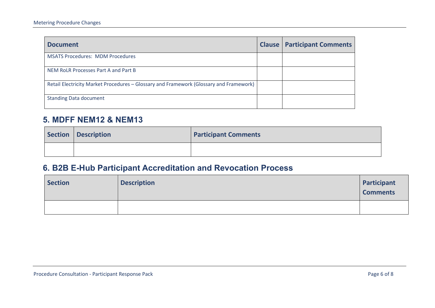| <b>Document</b>                                                                        | <b>Clause   Participant Comments</b> |
|----------------------------------------------------------------------------------------|--------------------------------------|
| <b>MSATS Procedures: MDM Procedures</b>                                                |                                      |
| NEM RoLR Processes Part A and Part B                                                   |                                      |
| Retail Electricity Market Procedures – Glossary and Framework (Glossary and Framework) |                                      |
| <b>Standing Data document</b>                                                          |                                      |

#### **5. MDFF NEM12 & NEM13**

| Section Description | <b>Participant Comments</b> |
|---------------------|-----------------------------|
|                     |                             |

## **6. B2B E-Hub Participant Accreditation and Revocation Process**

<span id="page-5-1"></span><span id="page-5-0"></span>

| <b>Section</b> | <b>Description</b> | Participant<br><b>Comments</b> |
|----------------|--------------------|--------------------------------|
|                |                    |                                |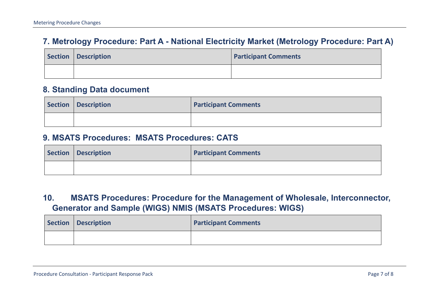## **7. Metrology Procedure: Part A - National Electricity Market (Metrology Procedure: Part A)**

| Section   Description | <b>Participant Comments</b> |
|-----------------------|-----------------------------|
|                       |                             |

#### **8. Standing Data document**

| Section   Description | <b>Participant Comments</b> |
|-----------------------|-----------------------------|
|                       |                             |

#### **9. MSATS Procedures: MSATS Procedures: CATS**

<span id="page-6-0"></span>

| Section   Description | <b>Participant Comments</b> |
|-----------------------|-----------------------------|
|                       |                             |

## **10. MSATS Procedures: Procedure for the Management of Wholesale, Interconnector, Generator and Sample (WIGS) NMIS (MSATS Procedures: WIGS)**

<span id="page-6-3"></span><span id="page-6-2"></span><span id="page-6-1"></span>

| Section Description | <b>Participant Comments</b> |
|---------------------|-----------------------------|
|                     |                             |